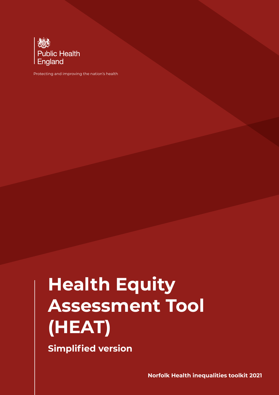

Protecting and improving the nation's health

# **Health Equity Assessment Tool (HEAT)**

**Simplified version**

**Norfolk Health inequalities toolkit 2021**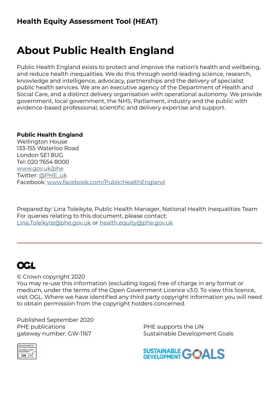### **Health Equity Assessment Tool (HEAT)**

# **About Public Health England**

Public Health England exists to protect and improve the nation's health and wellbeing, and reduce health inequalities. We do this through world-leading science, research, knowledge and intelligence, advocacy, partnerships and the delivery of specialist public health services. We are an executive agency of the Department of Health and Social Care, and a distinct delivery organisation with operational autonomy. We provide government, local government, the NHS, Parliament, industry and the public with evidence-based professional, scientific and delivery expertise and support.

#### **Public Health England**

Wellington House 133-155 Waterloo Road London SE1 8UG Tel: 020 7654 8000 [www.gov.uk/phe](http://www.gov.uk/phe)  Twitter: [@PHE\\_uk](https://twitter.com/PHE_uk) Facebook: [www.facebook.com/PublicHealthEngland](http://www.facebook.com/PublicHealthEngland)

Prepared by: Lina Toleikyte, Public Health Manager, National Health Inequalities Team For queries relating to this document, please contact: [Lina.Toleikyte@phe.gov.uk](mailto:Lina.Toleikyte%40phe.gov.uk?subject=) or [health.equity@phe.gov.uk](mailto:health.equity%40phe.gov.uk?subject=)

## **OGL**

© Crown copyright 2020

You may re-use this information (excluding logos) free of charge in any format or medium, under the terms of the Open Government Licence v3.0. To view this licence, visit OGL. Where we have identified any third party copyright information you will need to obtain permission from the copyright holders concerned.

Published September 2020 PHE publications gateway number: GW-1167

PHE supports the UN Sustainable Development Goals



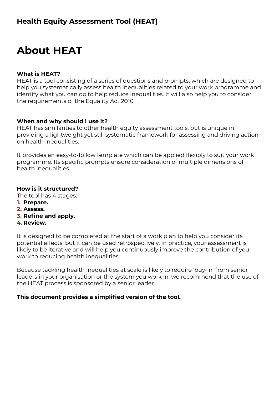# **About HEAT**

#### **What is HEAT?**

HEAT is a tool consisting of a series of questions and prompts, which are designed to help you systematically assess health inequalities related to your work programme and identify what you can do to help reduce inequalities. It will also help you to consider the requirements of the Equality Act 2010.

#### **When and why should I use it?**

HEAT has similarities to other health equity assessment tools, but is unique in providing a lightweight yet still systematic framework for assessing and driving action on health inequalities.

It provides an easy-to-follow template which can be applied flexibly to suit your work programme. Its specific prompts ensure consideration of multiple dimensions of health inequalities.

#### **How is it structured?**

The tool has 4 stages:

- **1. Prepare.**
- **2. Assess.**
- **3. Refine and apply.**
- **4. Review.**

It is designed to be completed at the start of a work plan to help you consider its potential effects, but it can be used retrospectively. In practice, your assessment is likely to be iterative and will help you continuously improve the contribution of your work to reducing health inequalities.

Because tackling health inequalities at scale is likely to require 'buy-in' from senior leaders in your organisation or the system you work in, we recommend that the use of the HEAT process is sponsored by a senior leader.

#### **This document provides a simplified version of the tool.**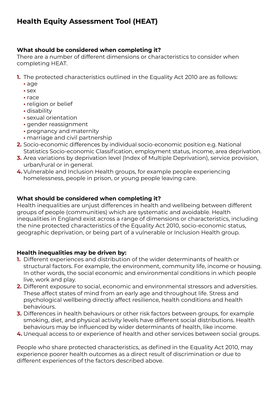### **Health Equity Assessment Tool (HEAT)**

#### **What should be considered when completing it?**

There are a number of different dimensions or characteristics to consider when completing HEAT.

- **1.** The protected characteristics outlined in the Equality Act 2010 are as follows:
	- **•** age
	- **•** sex
	- **•** race
	- **•** religion or belief
	- **•** disability
	- **•** sexual orientation
	- **•** gender reassignment
	- **•** pregnancy and maternity
	- **•** marriage and civil partnership
- **2.** Socio-economic differences by individual socio-economic position e.g. National Statistics Socio-economic Classification, employment status, income, area deprivation.
- **3.** Area variations by deprivation level (Index of Multiple Deprivation), service provision, urban/rural or in general.
- **4.** Vulnerable and Inclusion Health groups, for example people experiencing homelessness, people in prison, or young people leaving care.

#### **What should be considered when completing it?**

Health inequalities are unjust differences in health and wellbeing between different groups of people (communities) which are systematic and avoidable. Health inequalities in England exist across a range of dimensions or characteristics, including the nine protected characteristics of the Equality Act 2010, socio-economic status, geographic deprivation, or being part of a vulnerable or Inclusion Health group.

#### **Health inequalities may be driven by:**

- **1.** Different experiences and distribution of the wider determinants of health or structural factors. For example, the environment, community life, income or housing. In other words, the social economic and environmental conditions in which people live, work and play.
- **2.** Different exposure to social, economic and environmental stressors and adversities. These affect states of mind from an early age and throughout life. Stress and psychological wellbeing directly affect resilience, health conditions and health behaviours.
- **3.** Differences in health behaviours or other risk factors between groups, for example smoking, diet, and physical activity levels have different social distributions. Health behaviours may be influenced by wider determinants of health, like income.
- **4.** Unequal access to or experience of health and other services between social groups.

People who share protected characteristics, as defined in the Equality Act 2010, may experience poorer health outcomes as a direct result of discrimination or due to different experiences of the factors described above.